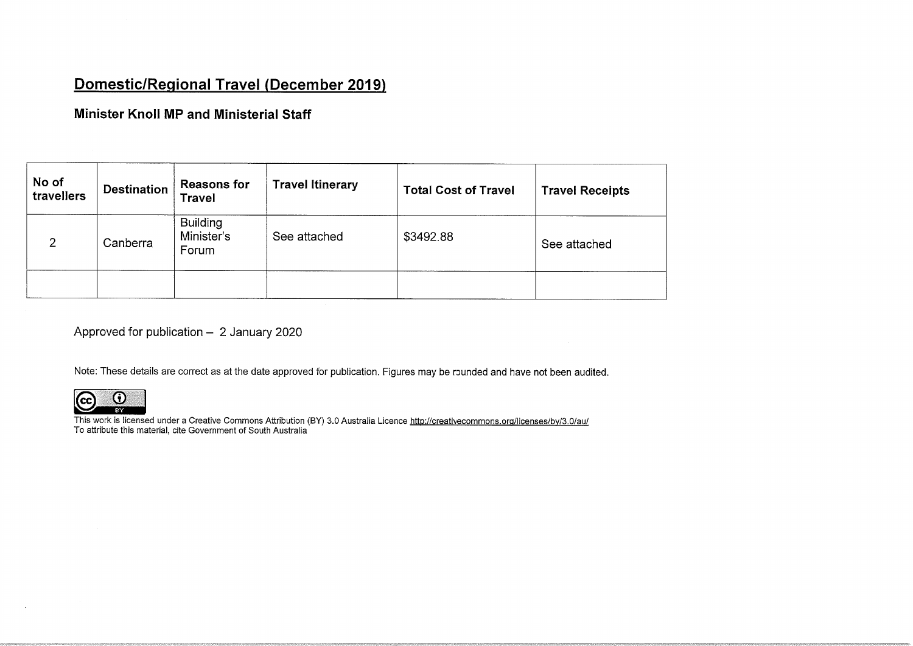## <u>Domestic/Regional Travel (December 2019</u>

#### Minister Knoll MP and Ministerial Staff

| No of<br>travellers | <b>Destination</b> | <b>Reasons for</b><br><b>Travel</b>    | <b>Travel Itinerary</b> | <b>Total Cost of Travel</b> | <b>Travel Receipts</b> |
|---------------------|--------------------|----------------------------------------|-------------------------|-----------------------------|------------------------|
| 2                   | Canberra           | <b>Building</b><br>Minister's<br>Forum | See attached            | \$3492.88                   | See attached           |
|                     |                    |                                        |                         |                             |                        |

Approved for publication  $-2$  January 2020

Note: These details are correct as at the date approved for publication. Figures may be rounded and have not been audited.



This work is licensed under a Creative Commons Attribution (BY) 3.0 Australia Licence http://creativecommons.org/licenses/by/3.0/au/ To attribute this material, cite Government of South Australia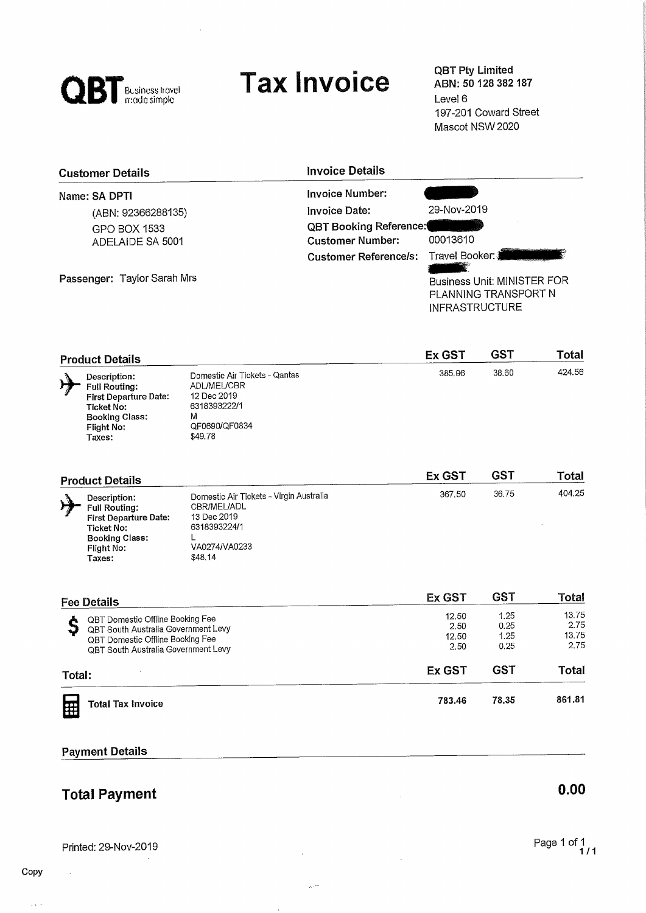

# Tax Invoice **QBT Pty Limited**

ABN: 50 128 382 187 Level 6 197-201 Coward Street Mascot NSW 2020

| <b>Customer Details</b>     | <b>Invoice Details</b>        |                                                                                                         |
|-----------------------------|-------------------------------|---------------------------------------------------------------------------------------------------------|
| Name: SA DPTI               | Invoice Number:               |                                                                                                         |
| (ABN: 92366288135)          | <b>Invoice Date:</b>          | 29-Nov-2019                                                                                             |
| GPO BOX 1533                | <b>QBT Booking Reference:</b> |                                                                                                         |
| ADELAIDE SA 5001            | <b>Customer Number:</b>       | 00013610                                                                                                |
| Passenger: Taylor Sarah Mrs | <b>Customer Reference/s:</b>  | Travel Booker: ∦<br><b>Business Unit: MINISTER FOR</b><br>PLANNING TRANSPORT N<br><b>INFRASTRUCTURE</b> |

|   | <b>Product Details</b>                                                                                                       |                                                                                                                     | Ex GST | GS1   | Total  |
|---|------------------------------------------------------------------------------------------------------------------------------|---------------------------------------------------------------------------------------------------------------------|--------|-------|--------|
| ゖ | Description:<br><b>Full Routing:</b><br>First Departure Date:<br>Ticket No:<br><b>Booking Class:</b><br>Flight No:<br>Taxes: | Domestic Air Tickets - Qantas<br><b>ADL/MEL/CBR</b><br>12 Dec 2019<br>6318393222/1<br>М<br>QF0690/QF0834<br>\$49.78 | 385.96 | 38.60 | 424.56 |

| <b>Product Details</b>                                                                                                              |                                                                                                                   | Ex GST | GS1   | <b>Total</b> |
|-------------------------------------------------------------------------------------------------------------------------------------|-------------------------------------------------------------------------------------------------------------------|--------|-------|--------------|
| Description:<br><b>Full Routing:</b><br><b>First Departure Date:</b><br>Ticket No:<br><b>Booking Class:</b><br>Flight No:<br>Taxes: | Domestic Air Tickets - Virgin Australia<br>CBR/MEL/ADL<br>13 Dec 2019<br>6318393224/1<br>VA0274/VA0233<br>\$48.14 | 367,50 | 36.75 | 404.25       |

| <b>Fee Details</b>                                                                                                                                 | Ex GST                         | <b>GST</b>                   | Total                          |
|----------------------------------------------------------------------------------------------------------------------------------------------------|--------------------------------|------------------------------|--------------------------------|
| QBT Domestic Offline Booking Fee<br>QBT South Australia Government Levy<br>QBT Domestic Offline Booking Fee<br>QBT South Australia Government Levy | 12.50<br>2.50<br>12.50<br>2.50 | 1.25<br>0.25<br>1.25<br>0.25 | 13.75<br>2.75<br>13.75<br>2.75 |
| Total:                                                                                                                                             | Ex GST                         | GST                          | Total                          |
| <b>Total Tax Invoice</b><br>Œ                                                                                                                      | 783.46                         | 78.35                        | 861.81                         |

#### Payment Details

## **Total Payment** 0.00

Printed: 29-NOV-2019

 $\bar{\tau}$  ,  $\bar{\tau}$ 

 $\ddot{\phantom{a}}$ 

 $\hat{\mathcal{N}}$ 

 $\mathcal{L}^{(1)}$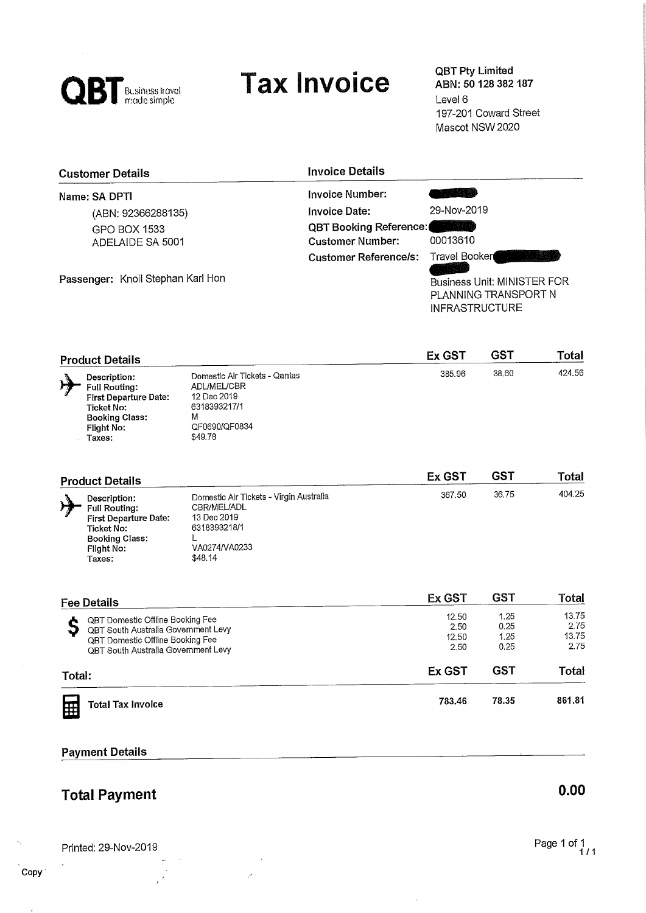

# Tax Invoice **QBT Pty Limited**

ABN: 50 128 382 187 Level 6 197-201 Coward Street Mascot NSW 2020

| <b>Customer Details</b>           | <b>Invoice Details</b>        |                                                                                                      |
|-----------------------------------|-------------------------------|------------------------------------------------------------------------------------------------------|
| Name: SA DPTI                     | Invoice Number:               |                                                                                                      |
| (ABN: 92366288135)                | Invoice Date:                 | 29-Nov-2019                                                                                          |
| GPO BOX 1533                      | <b>QBT Booking Reference:</b> | w                                                                                                    |
| ADELAIDE SA 5001                  | <b>Customer Number:</b>       | 00013610                                                                                             |
| Passenger: Knoll Stephan Karl Hon | Customer Reference/s:         | Travel Booker<br><b>Business Unit: MINISTER FOR</b><br>PLANNING TRANSPORT N<br><b>INFRASTRUCTURE</b> |

| <b>Product Details</b>                                                                                                              |                                                                                                                     | Ex GST | GST   | Total  |
|-------------------------------------------------------------------------------------------------------------------------------------|---------------------------------------------------------------------------------------------------------------------|--------|-------|--------|
| Description:<br><b>Full Routing:</b><br><b>First Departure Date:</b><br>Ticket No:<br><b>Booking Class:</b><br>Flight No:<br>Taxes: | Domestic Air Tickets - Qantas<br><b>ADL/MEL/CBR</b><br>12 Dec 2019<br>6318393217/1<br>M<br>QF0690/QF0834<br>\$49.78 | 385.96 | 38.60 | 424.56 |

| <b>Product Details</b>                                                                                                              |                                                                                                                   | Ex GST | GS1   | Total  |
|-------------------------------------------------------------------------------------------------------------------------------------|-------------------------------------------------------------------------------------------------------------------|--------|-------|--------|
| Description:<br><b>Full Routing:</b><br><b>First Departure Date:</b><br>Ticket No:<br><b>Booking Class:</b><br>Flight No:<br>Taxes: | Domestic Air Tickets - Virgin Australia<br>CBR/MEL/ADL<br>13 Dec 2019<br>6318393218/1<br>VA0274/VA0233<br>\$48.14 | 367.50 | 36.75 | 404.25 |

| <b>Fee Details</b>                                                                                                                                 | Ex GST                         | <b>GST</b>                   | Total                          |
|----------------------------------------------------------------------------------------------------------------------------------------------------|--------------------------------|------------------------------|--------------------------------|
| QBT Domestic Offline Booking Fee<br>QBT South Australia Government Levy<br>QBT Domestic Offline Booking Fee<br>QBT South Australia Government Levy | 12.50<br>2.50<br>12.50<br>2.50 | 1.25<br>0.25<br>1.25<br>0.25 | 13.75<br>2.75<br>13.75<br>2.75 |
| Total:                                                                                                                                             | Ex GST                         | GST                          | Total                          |
| <b>Total Tax Invoice</b>                                                                                                                           | 783.46                         | 78.35                        | 861.81                         |

#### Payment Details

## **Total Payment** 0.00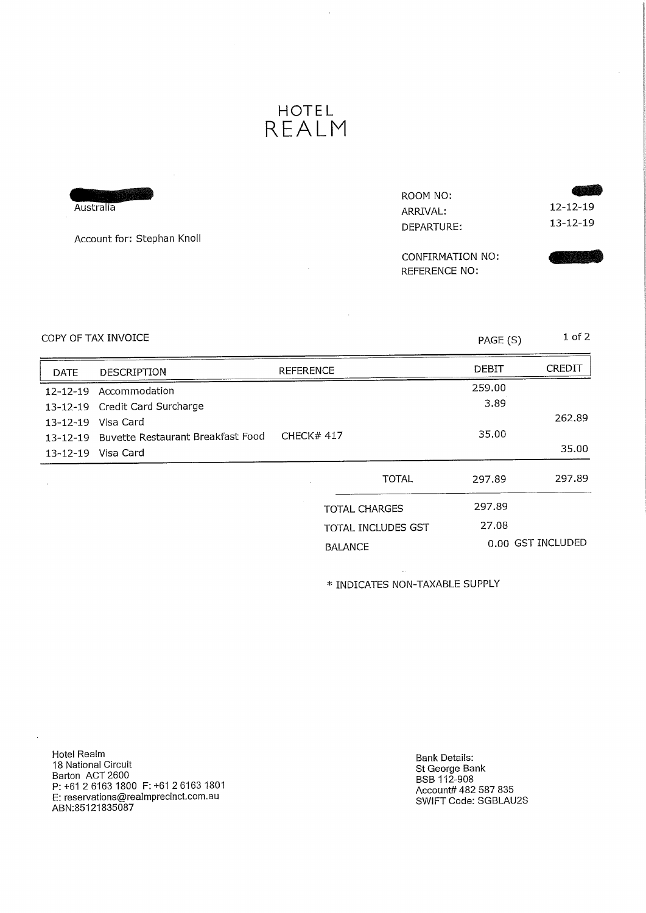### HOTEL REALM

| Australia<br>Account for: Stephan Knoll | ROOM NO:<br>ARRIVAL:<br>DEPARTURE:       | $12 - 12 - 19$<br>$13 - 12 - 19$ |
|-----------------------------------------|------------------------------------------|----------------------------------|
|                                         | CONFIRMATION NO:<br><b>REFERENCE NO:</b> |                                  |

 $\bar{\beta}$ 

 $COPY$  OF TAX INVOICE  $PAGE(S)$  1 of 2

J.

| <b>DATE</b>    | <b>DESCRIPTION</b>                         | <b>REFERENCE</b>          |              | <b>DEBIT</b> | CREDIT            |
|----------------|--------------------------------------------|---------------------------|--------------|--------------|-------------------|
| $12 - 12 - 19$ | Accommodation                              |                           |              | 259.00       |                   |
|                | 13-12-19 Credit Card Surcharge             |                           |              | 3.89         |                   |
| $13 - 12 - 19$ | Visa Card                                  |                           |              |              | 262.89            |
|                | 13-12-19 Buvette Restaurant Breakfast Food | <b>CHECK# 417</b>         |              | 35.00        |                   |
|                | 13-12-19 Visa Card                         |                           |              |              | 35.00             |
|                |                                            |                           | <b>TOTAL</b> | 297.89       | 297.89            |
|                |                                            | <b>TOTAL CHARGES</b>      |              | 297.89       |                   |
|                |                                            | <b>TOTAL INCLUDES GST</b> |              | 27.08        |                   |
|                |                                            | <b>BALANCE</b>            |              |              | 0.00 GST INCLUDED |

\* INDICATES NON-TAXABLE SUPPLY

Hotel Realm 18 National Circuit Barton ACT 2600 P: +61 2 6163 1800 F: +61 2 6163 1801 E: reservations@realmprecinct.com.au ABN:85121835087

Bank Details: St George Bank BSB 112-908 Account# 482 587 835 SWIFT Code: SGBLAU2S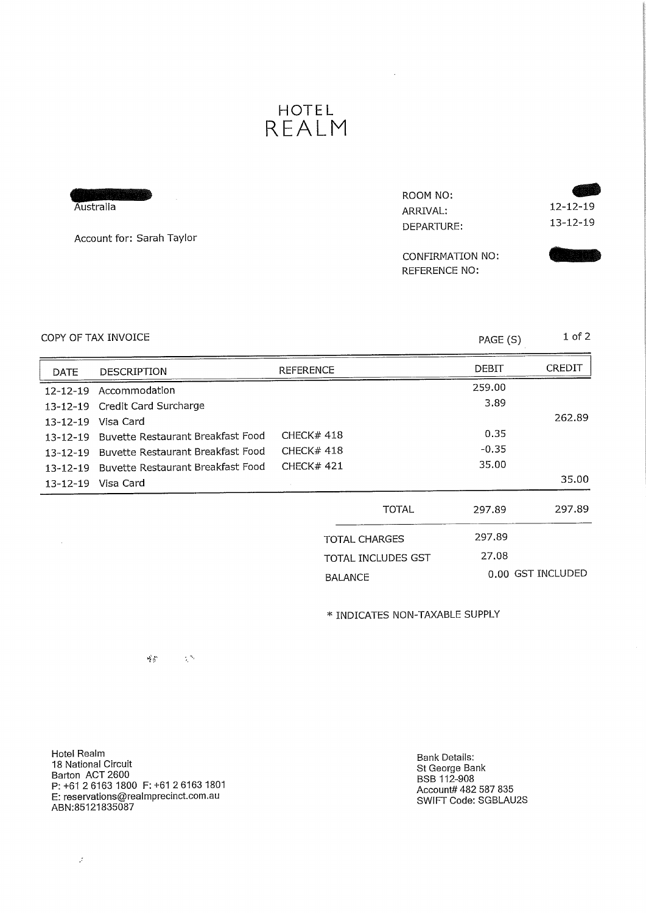## HOTEL REALM

| Australia<br>Account for: Sarah Taylor | ROOM NO:<br>ARRIVAL:<br>DEPARTURE: | $12 - 12 - 19$<br>$13 - 12 - 19$ |
|----------------------------------------|------------------------------------|----------------------------------|
|                                        | CONFIRMATION NO:<br>REFERENCE NO:  |                                  |

 $\mathcal{A}$ 

#### $COPY$  OF TAX INVOICE  $PAGE(S)$  1 of 2

| <b>DATE</b>    | <b>DESCRIPTION</b>                | <b>REFERENCE</b>          | DEBIT   | <b>CREDIT</b> |
|----------------|-----------------------------------|---------------------------|---------|---------------|
|                | 12-12-19 Accommodation            |                           | 259.00  |               |
|                | 13-12-19 Credit Card Surcharge    |                           | 3.89    |               |
| $13 - 12 - 19$ | Visa Card                         |                           |         | 262.89        |
| $13 - 12 - 19$ | Buvette Restaurant Breakfast Food | CHECK $#$ 418             | 0.35    |               |
| $13 - 12 - 19$ | Buvette Restaurant Breakfast Food | CHECK#418                 | $-0.35$ |               |
| $13 - 12 - 19$ | Buvette Restaurant Breakfast Food | <b>CHECK# 421</b>         | 35.00   |               |
|                | 13-12-19 Visa Card                |                           |         | 35.00         |
|                |                                   | <b>TOTAL</b>              | 297.89  | 297.89        |
|                |                                   | <b>TOTAL CHARGES</b>      | 297.89  |               |
|                |                                   | <b>TOTAL INCLUDES GST</b> | 27.08   |               |

BALANCE 0.00 GST INCLUDED

\* INDICATES NON-TAXABLE SUPPLY

Hotel Realm 18 National Circuit Barton ACT 2600 P: +61 2 6163 1800 F: +61 2 6163 1801 E: reservations@realmprecinct.com.au ABN:85121835087

 $\frac{\Delta^2}{4} \frac{\Delta^2}{\Delta^2}$ 

 $\sim 25$ 

Bank Details. St George Bank BSB 112-908  $\frac{1}{2}$ Account $\frac{1}{2}$  482 587 835 SWIFT CODE: SGBLAUZS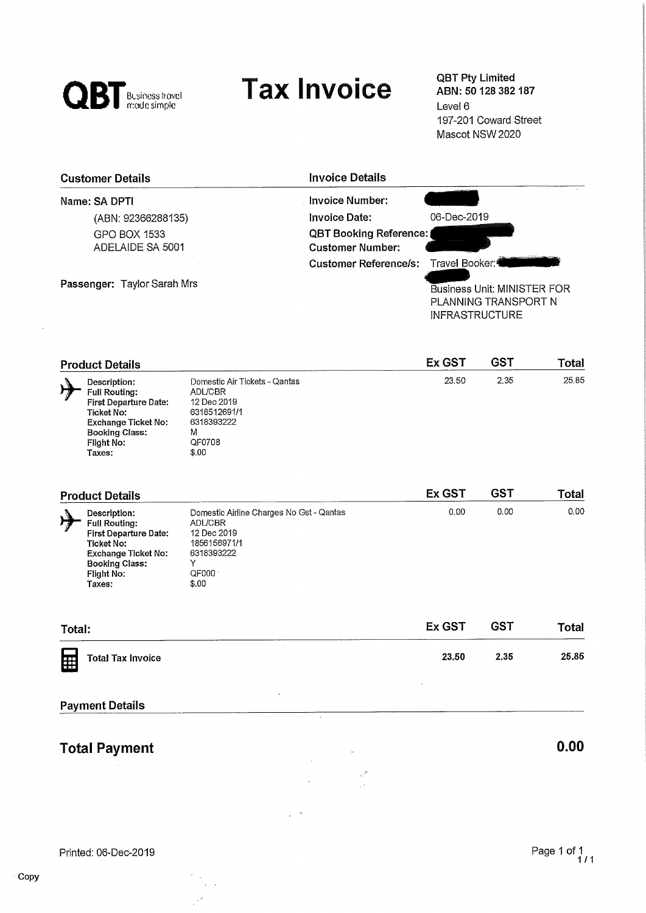

# Tax Invoice **QBT Pty Limited**

ABN: 50 128 382 187 Level 6 197-201 Coward Street Mascot NSW 2020

| <b>Customer Details</b>          | <b>Invoice Details</b>                                                                                                          |  |
|----------------------------------|---------------------------------------------------------------------------------------------------------------------------------|--|
| Name: SA DPTI                    | Invoice Number:                                                                                                                 |  |
| (ABN: 92366288135)               | 06-Dec-2019<br>Invoice Date:                                                                                                    |  |
| GPO BOX 1533<br>ADELAIDE SA 5001 | <b>QBT Booking Reference:</b><br><b>Customer Number:</b>                                                                        |  |
| Passenger: Taylor Sarah Mrs      | Travel Booker:4<br>Customer Reference/s:<br><b>Business Unit: MINISTER FOR</b><br>PLANNING TRANSPORT N<br><b>INFRASTRUCTURE</b> |  |

| <b>Product Details</b> |                                                                                                                                                            |                                                                                                                      | Ex GST | GST  | Total |
|------------------------|------------------------------------------------------------------------------------------------------------------------------------------------------------|----------------------------------------------------------------------------------------------------------------------|--------|------|-------|
|                        | Description:<br><b>Full Routing:</b><br><b>First Departure Date:</b><br>Ticket No:<br>Exchange Ticket No:<br><b>Booking Class:</b><br>Flight No:<br>Taxes: | Domestic Air Tickets - Qantas<br><b>ADL/CBR</b><br>12 Dec 2019<br>6318512691/1<br>6318393222<br>M<br>QF0708<br>\$.00 | 23.50  | 2.35 | 25.85 |

| <b>Product Details</b>                                                                                                                                            |                                                                                                                                | <b>Ex GST</b> | <b>GST</b> | Total |
|-------------------------------------------------------------------------------------------------------------------------------------------------------------------|--------------------------------------------------------------------------------------------------------------------------------|---------------|------------|-------|
| Description:<br><b>Full Routing:</b><br><b>First Departure Date:</b><br>Ticket No:<br><b>Exchange Ticket No:</b><br><b>Booking Class:</b><br>Flight No:<br>Taxes: | Domestic Airline Charges No Gst - Qantas<br><b>ADL/CBR</b><br>12 Dec 2019<br>1856156971/1<br>6318393222<br>v<br>QF000<br>\$.00 | 0.00          | 0.00       | 0.00  |

| <b>Total</b>                          |
|---------------------------------------|
| 25.85                                 |
| <b>GST</b><br>Ex GST<br>2.35<br>23.50 |

 $\overline{\phantom{a}}$ 

 $\ddot{\phantom{a}}$ 

 $\frac{1}{2}$  .  $\frac{1}{2}$ 

 $\sim$   $\sim$ 

#### Payment Details

# Total Payment 0.00

 $\ddot{\phantom{a}}$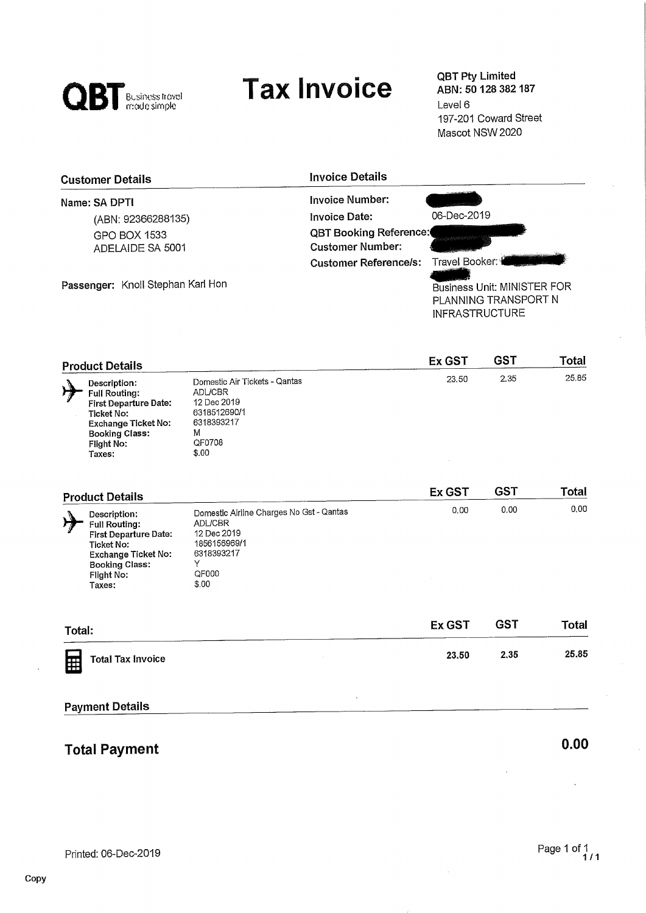

# **Tax Invoice**

QBT Pty Limited<br>ABN: 50 128 382 187 Level 6 197-201 Coward Street Mascot NSW 2020

| <b>Customer Details</b>                 | <b>Invoice Details</b>                                                                                                                  |
|-----------------------------------------|-----------------------------------------------------------------------------------------------------------------------------------------|
| Name: SA DPTI                           | Invoice Number:                                                                                                                         |
| (ABN: 92366288135)                      | 06-Dec-2019<br>Invoice Date:                                                                                                            |
| <b>GPO BOX 1533</b><br>ADELAIDE SA 5001 | <b>QBT Booking Reference:</b><br><b>Customer Number:</b>                                                                                |
| Passenger: Knoll Stephan Karl Hon       | Travel Booker: 1<br><b>Customer Reference/s:</b><br><b>Business Unit: MINISTER FOR</b><br>PLANNING TRANSPORT N<br><b>INFRASTRUCTURE</b> |

| <b>Product Details</b>                                                                                                                                     |                                                                                                               | <b>Ex GST</b> | GS1  | <b>Total</b> |
|------------------------------------------------------------------------------------------------------------------------------------------------------------|---------------------------------------------------------------------------------------------------------------|---------------|------|--------------|
| Description:<br><b>Full Routing:</b><br><b>First Departure Date:</b><br>Ticket No:<br>Exchange Ticket No:<br><b>Booking Class:</b><br>Flight No:<br>Taxes: | Domestic Air Tickets - Qantas<br>ADL/CBR<br>12 Dec 2019<br>6318512690/1<br>6318393217<br>M<br>QF0708<br>\$.00 | 23.50         | 2.35 | 25.85        |

| <b>Product Details</b>                                                                                                                                     |                                                                                                                           | Ex GST | <b>GST</b> | Total |
|------------------------------------------------------------------------------------------------------------------------------------------------------------|---------------------------------------------------------------------------------------------------------------------------|--------|------------|-------|
| Description:<br><b>Full Routing:</b><br><b>First Departure Date:</b><br>Ticket No:<br>Exchange Ticket No:<br><b>Booking Class:</b><br>Flight No:<br>Taxes: | Domestic Airline Charges No Gst - Qantas<br><b>ADL/CBR</b><br>12 Dec 2019<br>1856156969/1<br>6318393217<br>QF000<br>\$.00 | 0.00   | 0.00       | 0.00  |

| <b>Ex GST</b> | <b>GST</b> | Total |
|---------------|------------|-------|
| 23,50         | 2.35       | 25.85 |
|               |            |       |

#### Payment Details

## Total Payment 0.00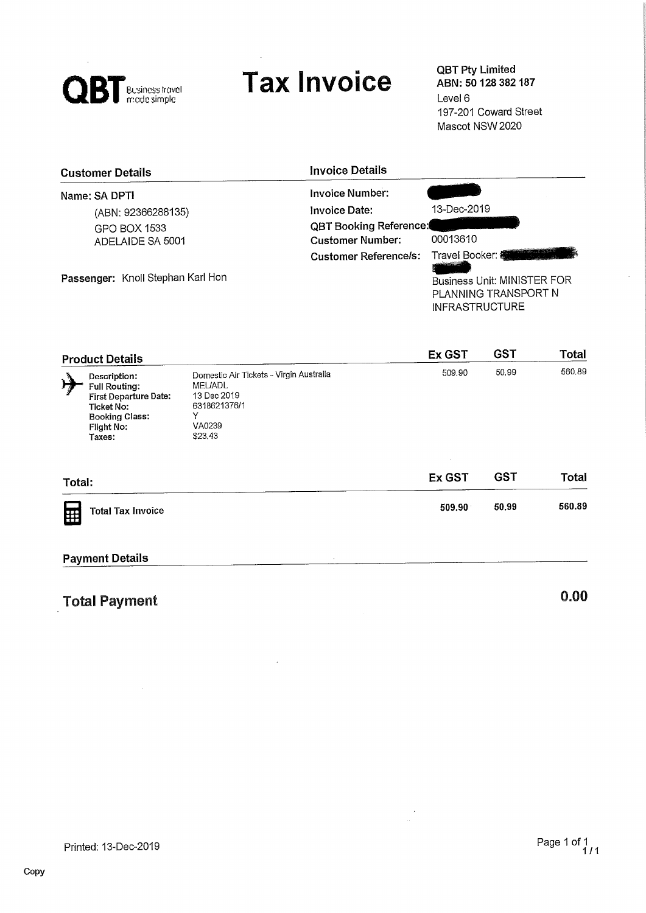

# **Tax Invoice**

QBT Pty Limited<br>ABN: 50 128 382 187 Level 6 197-201 Coward Street Mascot NSW 2020

| <b>Customer Details</b>           | <b>Invoice Details</b>                                   |                                                                                                                              |
|-----------------------------------|----------------------------------------------------------|------------------------------------------------------------------------------------------------------------------------------|
| Name: SA DPTI                     | <b>Invoice Number:</b>                                   |                                                                                                                              |
| (ABN: 92366288135)                | Invoice Date:                                            | 13-Dec-2019                                                                                                                  |
| GPO BOX 1533<br>ADELAIDE SA 5001  | <b>QBT Booking Reference:</b><br><b>Customer Number:</b> | 00013610                                                                                                                     |
| Passenger: Knoll Stephan Karl Hon | <b>Customer Reference/s:</b>                             | Travel Booker: <b>King and Travel</b><br><b>Business Unit: MINISTER FOR</b><br>PLANNING TRANSPORT N<br><b>INFRASTRUCTURE</b> |

|        | <b>Product Details</b>                                                                                                       |                                                                                                                    | Ex GST | <b>GST</b> | <b>Total</b> |
|--------|------------------------------------------------------------------------------------------------------------------------------|--------------------------------------------------------------------------------------------------------------------|--------|------------|--------------|
| H      | Description:<br><b>Full Routing:</b><br>First Departure Date:<br>Ticket No:<br><b>Booking Class:</b><br>Flight No:<br>Taxes: | Domestic Air Tickets - Virgin Australia<br><b>MEL/ADL</b><br>13 Dec 2019<br>6318621376/1<br>Y<br>VA0239<br>\$23.43 | 509.90 | 50.99      | 560.89       |
| Total: |                                                                                                                              |                                                                                                                    | Ex GST | <b>GST</b> | <b>Total</b> |
| 囲      | <b>Total Tax Invoice</b>                                                                                                     |                                                                                                                    | 509.90 | 50,99      | 560.89       |

 $\frac{1}{\sqrt{2}}$ 

#### Payment Details

| <b>Total Payment</b> | v.uu |  |
|----------------------|------|--|
|                      |      |  |